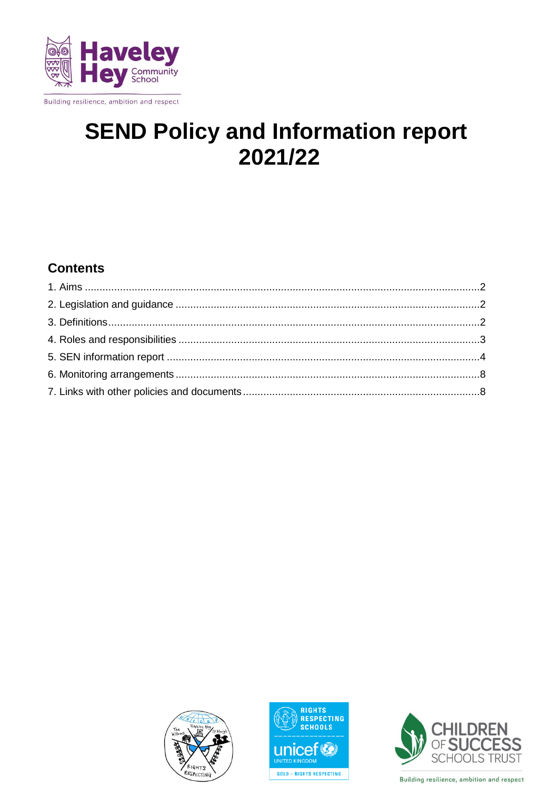

# **SEND Policy and Information report** 2021/22

# **Contents**





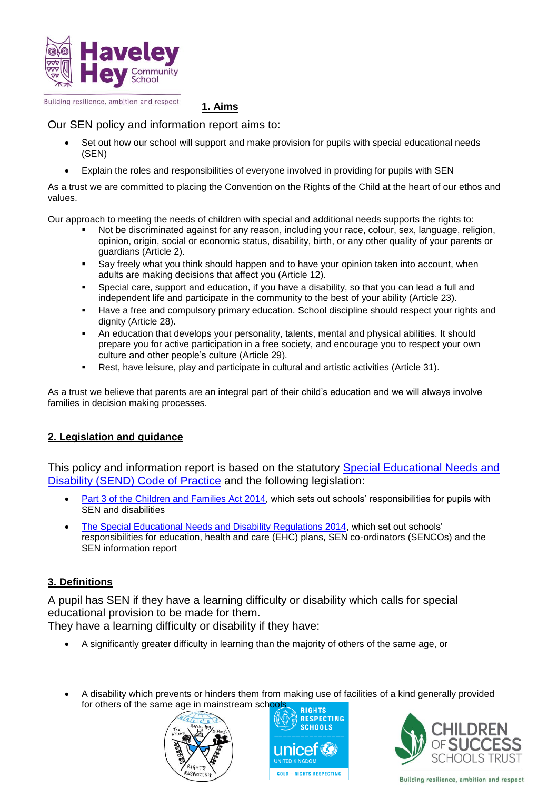

**1. Aims**

# Our SEN policy and information report aims to:

- Set out how our school will support and make provision for pupils with special educational needs (SEN)
- Explain the roles and responsibilities of everyone involved in providing for pupils with SEN

As a trust we are committed to placing the Convention on the Rights of the Child at the heart of our ethos and values.

Our approach to meeting the needs of children with special and additional needs supports the rights to:

- Not be discriminated against for any reason, including your race, colour, sex, language, religion, opinion, origin, social or economic status, disability, birth, or any other quality of your parents or guardians (Article 2).
- Say freely what you think should happen and to have your opinion taken into account, when adults are making decisions that affect you (Article 12).
- Special care, support and education, if you have a disability, so that you can lead a full and independent life and participate in the community to the best of your ability (Article 23).
- Have a free and compulsory primary education. School discipline should respect your rights and dignity (Article 28).
- An education that develops your personality, talents, mental and physical abilities. It should prepare you for active participation in a free society, and encourage you to respect your own culture and other people's culture (Article 29).
- Rest, have leisure, play and participate in cultural and artistic activities (Article 31).

As a trust we believe that parents are an integral part of their child's education and we will always involve families in decision making processes.

# **2. Legislation and guidance**

This policy and information report is based on the statutory [Special Educational Needs and](https://www.gov.uk/government/uploads/system/uploads/attachment_data/file/398815/SEND_Code_of_Practice_January_2015.pdf)  [Disability \(SEND\) Code of Practice](https://www.gov.uk/government/uploads/system/uploads/attachment_data/file/398815/SEND_Code_of_Practice_January_2015.pdf) and the following legislation:

- [Part 3 of the Children and Families Act 2014,](http://www.legislation.gov.uk/ukpga/2014/6/part/3) which sets out schools' responsibilities for pupils with SEN and disabilities
- [The Special Educational Needs and Disability Regulations 2014,](http://www.legislation.gov.uk/uksi/2014/1530/contents/made) which set out schools' responsibilities for education, health and care (EHC) plans, SEN co-ordinators (SENCOs) and the SEN information report

# **3. Definitions**

A pupil has SEN if they have a learning difficulty or disability which calls for special educational provision to be made for them. They have a learning difficulty or disability if they have:

A significantly greater difficulty in learning than the majority of others of the same age, or

 A disability which prevents or hinders them from making use of facilities of a kind generally provided for others of the same age in mainstream schools







Building resilience, ambition and respect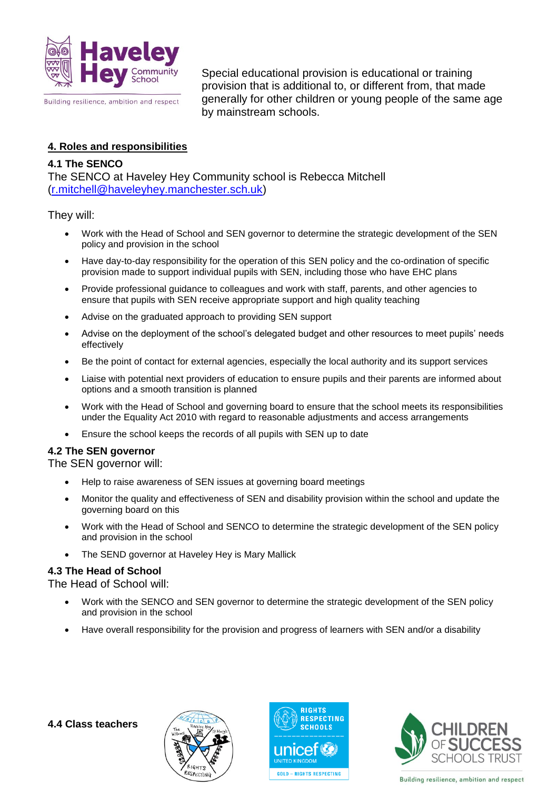

Special educational provision is educational or training provision that is additional to, or different from, that made generally for other children or young people of the same age by mainstream schools.

#### **4. Roles and responsibilities**

# **4.1 The SENCO**

The SENCO at Haveley Hey Community school is Rebecca Mitchell [\(r.mitchell@haveleyhey.manchester.sch.uk\)](mailto:r.mitchell@haveleyhey.manchester.sch.uk)

They will:

- Work with the Head of School and SEN governor to determine the strategic development of the SEN policy and provision in the school
- Have day-to-day responsibility for the operation of this SEN policy and the co-ordination of specific provision made to support individual pupils with SEN, including those who have EHC plans
- Provide professional guidance to colleagues and work with staff, parents, and other agencies to ensure that pupils with SEN receive appropriate support and high quality teaching
- Advise on the graduated approach to providing SEN support
- Advise on the deployment of the school's delegated budget and other resources to meet pupils' needs effectively
- Be the point of contact for external agencies, especially the local authority and its support services
- Liaise with potential next providers of education to ensure pupils and their parents are informed about options and a smooth transition is planned
- Work with the Head of School and governing board to ensure that the school meets its responsibilities under the Equality Act 2010 with regard to reasonable adjustments and access arrangements
- Ensure the school keeps the records of all pupils with SEN up to date

#### **4.2 The SEN governor**

The SEN governor will:

- Help to raise awareness of SEN issues at governing board meetings
- Monitor the quality and effectiveness of SEN and disability provision within the school and update the governing board on this
- Work with the Head of School and SENCO to determine the strategic development of the SEN policy and provision in the school
- The SEND governor at Haveley Hey is Mary Mallick

#### **4.3 The Head of School**

The Head of School will:

- Work with the SENCO and SEN governor to determine the strategic development of the SEN policy and provision in the school
- Have overall responsibility for the provision and progress of learners with SEN and/or a disability





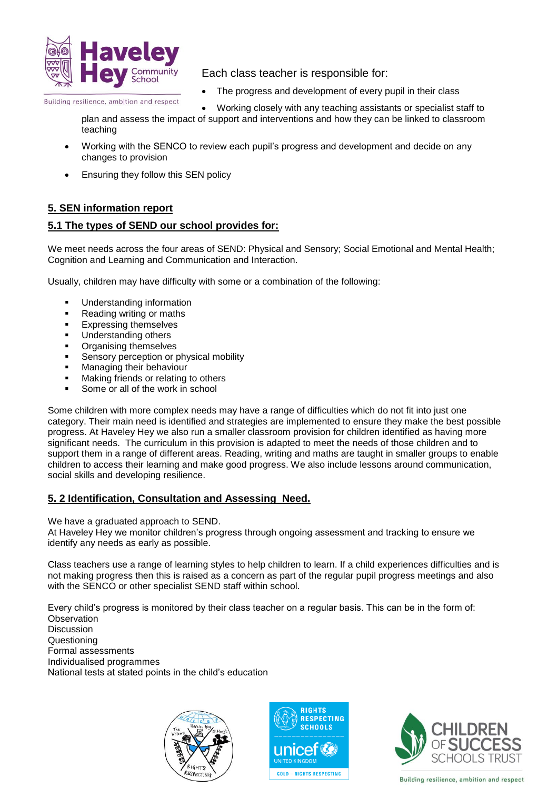

Each class teacher is responsible for:

The progress and development of every pupil in their class

Building resilience, ambition and respect

- Working closely with any teaching assistants or specialist staff to
- plan and assess the impact of support and interventions and how they can be linked to classroom teaching
- Working with the SENCO to review each pupil's progress and development and decide on any changes to provision
- Ensuring they follow this SEN policy

# **5. SEN information report**

# **5.1 The types of SEND our school provides for:**

We meet needs across the four areas of SEND: Physical and Sensory; Social Emotional and Mental Health; Cognition and Learning and Communication and Interaction.

Usually, children may have difficulty with some or a combination of the following:

- Understanding information
- Reading writing or maths
- Expressing themselves
- Understanding others
- Organising themselves
- Sensory perception or physical mobility
- **Managing their behaviour**
- **Making friends or relating to others**
- Some or all of the work in school

Some children with more complex needs may have a range of difficulties which do not fit into just one category. Their main need is identified and strategies are implemented to ensure they make the best possible progress. At Haveley Hey we also run a smaller classroom provision for children identified as having more significant needs. The curriculum in this provision is adapted to meet the needs of those children and to support them in a range of different areas. Reading, writing and maths are taught in smaller groups to enable children to access their learning and make good progress. We also include lessons around communication, social skills and developing resilience.

#### **5. 2 Identification, Consultation and Assessing Need.**

We have a graduated approach to SEND.

At Haveley Hey we monitor children's progress through ongoing assessment and tracking to ensure we identify any needs as early as possible.

Class teachers use a range of learning styles to help children to learn. If a child experiences difficulties and is not making progress then this is raised as a concern as part of the regular pupil progress meetings and also with the SENCO or other specialist SEND staff within school.

Every child's progress is monitored by their class teacher on a regular basis. This can be in the form of: **Observation Discussion** Questioning Formal assessments Individualised programmes

National tests at stated points in the child's education





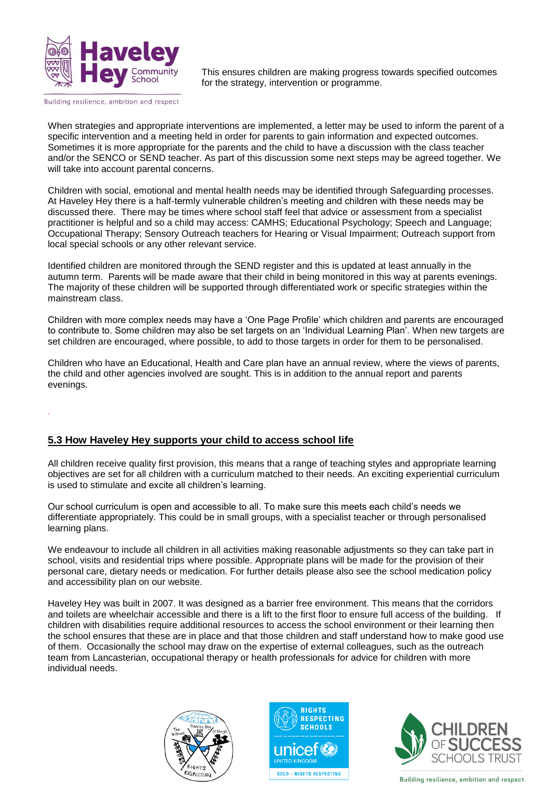

*.*

This ensures children are making progress towards specified outcomes for the strategy, intervention or programme.

When strategies and appropriate interventions are implemented, a letter may be used to inform the parent of a specific intervention and a meeting held in order for parents to gain information and expected outcomes. Sometimes it is more appropriate for the parents and the child to have a discussion with the class teacher and/or the SENCO or SEND teacher. As part of this discussion some next steps may be agreed together. We will take into account parental concerns.

Children with social, emotional and mental health needs may be identified through Safeguarding processes. At Haveley Hey there is a half-termly vulnerable children's meeting and children with these needs may be discussed there. There may be times where school staff feel that advice or assessment from a specialist practitioner is helpful and so a child may access: CAMHS; Educational Psychology; Speech and Language; Occupational Therapy; Sensory Outreach teachers for Hearing or Visual Impairment; Outreach support from local special schools or any other relevant service.

Identified children are monitored through the SEND register and this is updated at least annually in the autumn term. Parents will be made aware that their child in being monitored in this way at parents evenings. The majority of these children will be supported through differentiated work or specific strategies within the mainstream class.

Children with more complex needs may have a 'One Page Profile' which children and parents are encouraged to contribute to. Some children may also be set targets on an 'Individual Learning Plan'. When new targets are set children are encouraged, where possible, to add to those targets in order for them to be personalised.

Children who have an Educational, Health and Care plan have an annual review, where the views of parents, the child and other agencies involved are sought. This is in addition to the annual report and parents evenings.

#### **5.3 How Haveley Hey supports your child to access school life**

All children receive quality first provision, this means that a range of teaching styles and appropriate learning objectives are set for all children with a curriculum matched to their needs. An exciting experiential curriculum is used to stimulate and excite all children's learning.

Our school curriculum is open and accessible to all. To make sure this meets each child's needs we differentiate appropriately. This could be in small groups, with a specialist teacher or through personalised learning plans.

We endeavour to include all children in all activities making reasonable adjustments so they can take part in school, visits and residential trips where possible. Appropriate plans will be made for the provision of their personal care, dietary needs or medication. For further details please also see the school medication policy and accessibility plan on our website.

Haveley Hey was built in 2007. It was designed as a barrier free environment. This means that the corridors and toilets are wheelchair accessible and there is a lift to the first floor to ensure full access of the building. If children with disabilities require additional resources to access the school environment or their learning then the school ensures that these are in place and that those children and staff understand how to make good use of them. Occasionally the school may draw on the expertise of external colleagues, such as the outreach team from Lancasterian, occupational therapy or health professionals for advice for children with more individual needs.





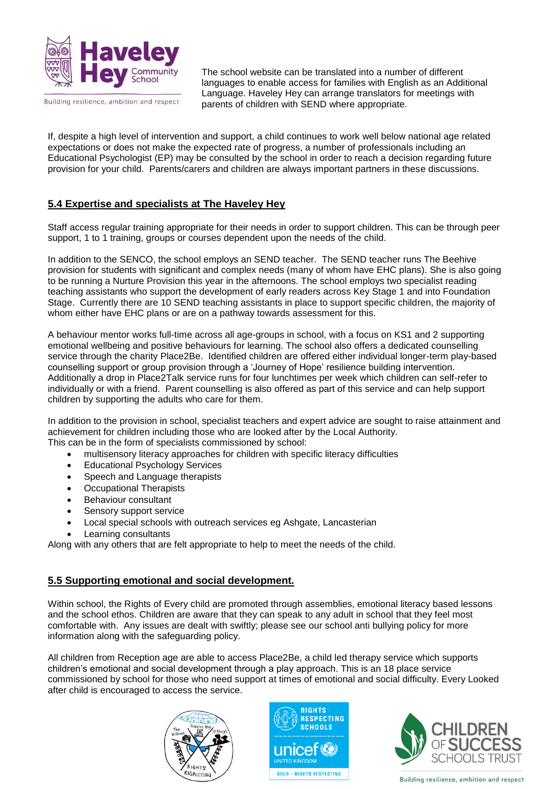

The school website can be translated into a number of different languages to enable access for families with English as an Additional Language. Haveley Hey can arrange translators for meetings with parents of children with SEND where appropriate.

If, despite a high level of intervention and support, a child continues to work well below national age related expectations or does not make the expected rate of progress, a number of professionals including an Educational Psychologist (EP) may be consulted by the school in order to reach a decision regarding future provision for your child. Parents/carers and children are always important partners in these discussions.

# **5.4 Expertise and specialists at The Haveley Hey**

Staff access regular training appropriate for their needs in order to support children. This can be through peer support, 1 to 1 training, groups or courses dependent upon the needs of the child.

In addition to the SENCO, the school employs an SEND teacher. The SEND teacher runs The Beehive provision for students with significant and complex needs (many of whom have EHC plans). She is also going to be running a Nurture Provision this year in the afternoons. The school employs two specialist reading teaching assistants who support the development of early readers across Key Stage 1 and into Foundation Stage. Currently there are 10 SEND teaching assistants in place to support specific children, the majority of whom either have EHC plans or are on a pathway towards assessment for this.

A behaviour mentor works full-time across all age-groups in school, with a focus on KS1 and 2 supporting emotional wellbeing and positive behaviours for learning. The school also offers a dedicated counselling service through the charity Place2Be. Identified children are offered either individual longer-term play-based counselling support or group provision through a 'Journey of Hope' resilience building intervention. Additionally a drop in Place2Talk service runs for four lunchtimes per week which children can self-refer to individually or with a friend. Parent counselling is also offered as part of this service and can help support children by supporting the adults who care for them.

In addition to the provision in school, specialist teachers and expert advice are sought to raise attainment and achievement for children including those who are looked after by the Local Authority. This can be in the form of specialists commissioned by school:

- multisensory literacy approaches for children with specific literacy difficulties
- Educational Psychology Services
- Speech and Language therapists
- Occupational Therapists
- Behaviour consultant
- Sensory support service
- Local special schools with outreach services eg Ashgate, Lancasterian
- Learning consultants

Along with any others that are felt appropriate to help to meet the needs of the child.

# **5.5 Supporting emotional and social development.**

Within school, the Rights of Every child are promoted through assemblies, emotional literacy based lessons and the school ethos. Children are aware that they can speak to any adult in school that they feel most comfortable with. Any issues are dealt with swiftly; please see our school anti bullying policy for more information along with the safeguarding policy.

All children from Reception age are able to access Place2Be, a child led therapy service which supports children's emotional and social development through a play approach. This is an 18 place service commissioned by school for those who need support at times of emotional and social difficulty. Every Looked after child is encouraged to access the service.





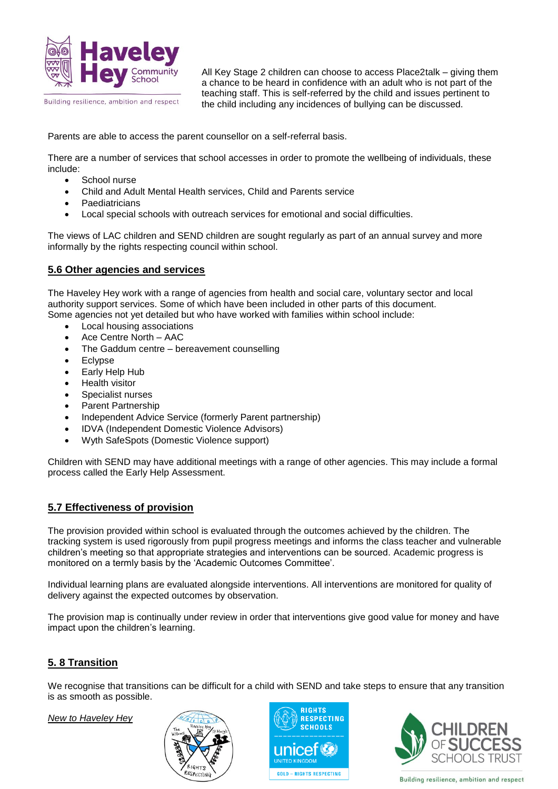

All Key Stage 2 children can choose to access Place2talk – giving them a chance to be heard in confidence with an adult who is not part of the teaching staff. This is self-referred by the child and issues pertinent to the child including any incidences of bullying can be discussed.

Parents are able to access the parent counsellor on a self-referral basis.

There are a number of services that school accesses in order to promote the wellbeing of individuals, these include:

- School nurse
- Child and Adult Mental Health services, Child and Parents service
- **Paediatricians**
- Local special schools with outreach services for emotional and social difficulties.

The views of LAC children and SEND children are sought regularly as part of an annual survey and more informally by the rights respecting council within school.

#### **5.6 Other agencies and services**

The Haveley Hey work with a range of agencies from health and social care, voluntary sector and local authority support services. Some of which have been included in other parts of this document. Some agencies not yet detailed but who have worked with families within school include:

- Local housing associations
- Ace Centre North AAC
- The Gaddum centre bereavement counselling
- Eclypse
- Early Help Hub
- Health visitor
- Specialist nurses
- Parent Partnership
- Independent Advice Service (formerly Parent partnership)
- IDVA (Independent Domestic Violence Advisors)
- Wyth SafeSpots (Domestic Violence support)

Children with SEND may have additional meetings with a range of other agencies. This may include a formal process called the Early Help Assessment.

#### **5.7 Effectiveness of provision**

The provision provided within school is evaluated through the outcomes achieved by the children. The tracking system is used rigorously from pupil progress meetings and informs the class teacher and vulnerable children's meeting so that appropriate strategies and interventions can be sourced. Academic progress is monitored on a termly basis by the 'Academic Outcomes Committee'.

Individual learning plans are evaluated alongside interventions. All interventions are monitored for quality of delivery against the expected outcomes by observation.

The provision map is continually under review in order that interventions give good value for money and have impact upon the children's learning.

#### **5. 8 Transition**

We recognise that transitions can be difficult for a child with SEND and take steps to ensure that any transition is as smooth as possible.

*New to Haveley Hey*